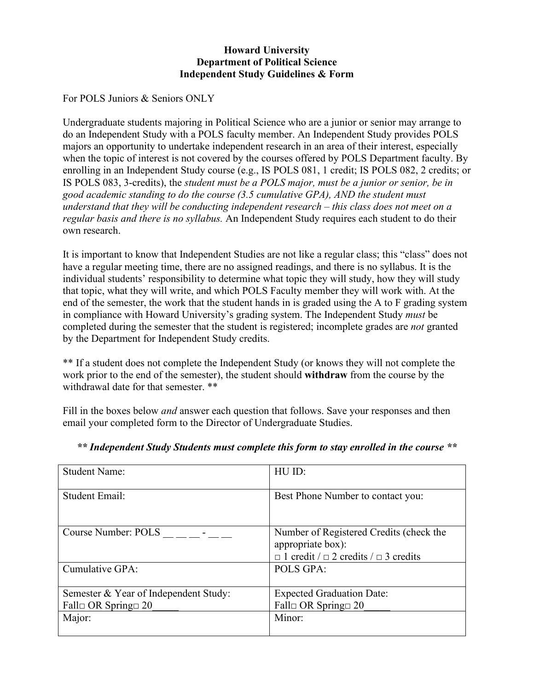## **Howard University Department of Political Science Independent Study Guidelines & Form**

For POLS Juniors & Seniors ONLY

Undergraduate students majoring in Political Science who are a junior or senior may arrange to do an Independent Study with a POLS faculty member. An Independent Study provides POLS majors an opportunity to undertake independent research in an area of their interest, especially when the topic of interest is not covered by the courses offered by POLS Department faculty. By enrolling in an Independent Study course (e.g., IS POLS 081, 1 credit; IS POLS 082, 2 credits; or IS POLS 083, 3-credits), the *student must be a POLS major, must be a junior or senior, be in good academic standing to do the course (3.5 cumulative GPA), AND the student must understand that they will be conducting independent research – this class does not meet on a regular basis and there is no syllabus.* An Independent Study requires each student to do their own research.

It is important to know that Independent Studies are not like a regular class; this "class" does not have a regular meeting time, there are no assigned readings, and there is no syllabus. It is the individual students' responsibility to determine what topic they will study, how they will study that topic, what they will write, and which POLS Faculty member they will work with. At the end of the semester, the work that the student hands in is graded using the A to F grading system in compliance with Howard University's grading system. The Independent Study *must* be completed during the semester that the student is registered; incomplete grades are *not* granted by the Department for Independent Study credits.

\*\* If a student does not complete the Independent Study (or knows they will not complete the work prior to the end of the semester), the student should **withdraw** from the course by the withdrawal date for that semester. \*\*

Fill in the boxes below *and* answer each question that follows. Save your responses and then email your completed form to the Director of Undergraduate Studies.

| <b>Student Name:</b>                  | HU ID:                                                                                                                |
|---------------------------------------|-----------------------------------------------------------------------------------------------------------------------|
| Student Email:                        | Best Phone Number to contact you:                                                                                     |
| Course Number: POLS                   | Number of Registered Credits (check the<br>appropriate box):<br>$\Box$ 1 credit / $\Box$ 2 credits / $\Box$ 3 credits |
| Cumulative GPA:                       | POLS GPA:                                                                                                             |
| Semester & Year of Independent Study: | <b>Expected Graduation Date:</b>                                                                                      |
| Fall $\Box$ OR Spring $\Box$ 20       | Fall $\Box$ OR Spring $\Box$ 20                                                                                       |
| Major:                                | Minor:                                                                                                                |

## *\*\* Independent Study Students must complete this form to stay enrolled in the course \*\**